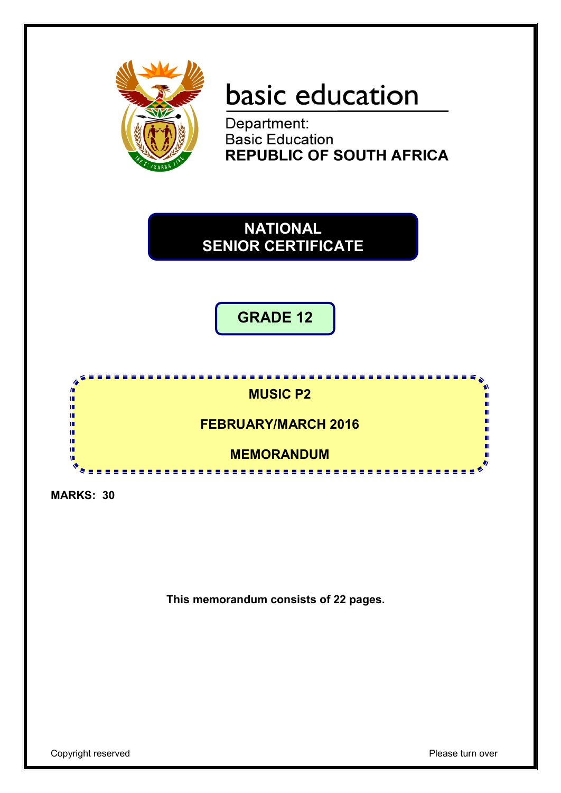

# basic education

Department: **Basic Education REPUBLIC OF SOUTH AFRICA** 



**GRADE 12**



**MARKS: 30**

**This memorandum consists of 22 pages.**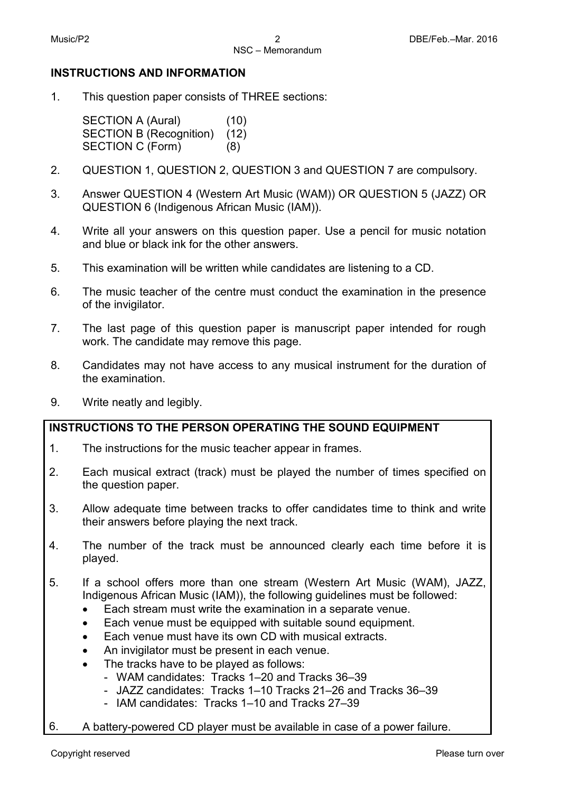#### **INSTRUCTIONS AND INFORMATION**

1. This question paper consists of THREE sections:

> SECTION A (Aural) (10) SECTION B (Recognition) (12) SECTION C (Form) (8)

- 2. QUESTION 1, QUESTION 2, QUESTION 3 and QUESTION 7 are compulsory.
- 3. Answer QUESTION 4 (Western Art Music (WAM)) OR QUESTION 5 (JAZZ) OR QUESTION 6 (Indigenous African Music (IAM)).
- 4. Write all your answers on this question paper. Use a pencil for music notation and blue or black ink for the other answers.
- 5. This examination will be written while candidates are listening to a CD.
- 6. The music teacher of the centre must conduct the examination in the presence of the invigilator.
- 7. The last page of this question paper is manuscript paper intended for rough work. The candidate may remove this page.
- 8. Candidates may not have access to any musical instrument for the duration of the examination.
- 9. Write neatly and legibly.

#### **INSTRUCTIONS TO THE PERSON OPERATING THE SOUND EQUIPMENT**

- 1. The instructions for the music teacher appear in frames.
- 2. Each musical extract (track) must be played the number of times specified on the question paper.
- 3. Allow adequate time between tracks to offer candidates time to think and write their answers before playing the next track.
- 4. The number of the track must be announced clearly each time before it is played.
- 5. If a school offers more than one stream (Western Art Music (WAM), JAZZ, Indigenous African Music (IAM)), the following guidelines must be followed:
	- Each stream must write the examination in a separate venue.
	- Each venue must be equipped with suitable sound equipment.
	- Each venue must have its own CD with musical extracts.
	- An invigilator must be present in each venue.
	- The tracks have to be played as follows:
		- WAM candidates: Tracks 1–20 and Tracks 36–39
		- JAZZ candidates: Tracks 1–10 Tracks 21–26 and Tracks 36–39
		- IAM candidates: Tracks 1–10 and Tracks 27–39
- 6. A battery-powered CD player must be available in case of a power failure.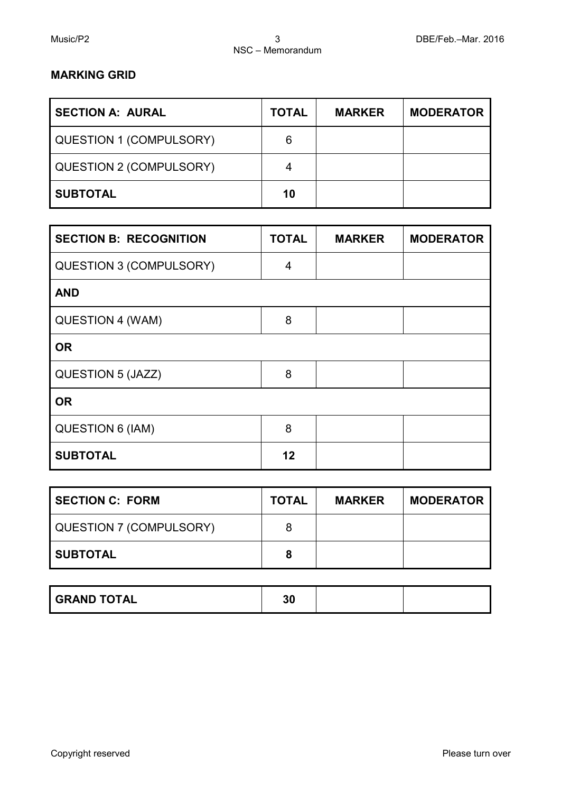# **MARKING GRID**

| <b>SECTION A: AURAL</b>        | <b>TOTAL</b> | <b>MARKER</b> | <b>MODERATOR</b> |
|--------------------------------|--------------|---------------|------------------|
| <b>QUESTION 1 (COMPULSORY)</b> | 6            |               |                  |
| <b>QUESTION 2 (COMPULSORY)</b> | 4            |               |                  |
| <b>SUBTOTAL</b>                | 10           |               |                  |

| <b>SECTION B: RECOGNITION</b>  | <b>TOTAL</b> | <b>MARKER</b> | <b>MODERATOR</b> |
|--------------------------------|--------------|---------------|------------------|
| <b>QUESTION 3 (COMPULSORY)</b> | 4            |               |                  |
| <b>AND</b>                     |              |               |                  |
| QUESTION 4 (WAM)               | 8            |               |                  |
| <b>OR</b>                      |              |               |                  |
| QUESTION 5 (JAZZ)              | 8            |               |                  |
| <b>OR</b>                      |              |               |                  |
| <b>QUESTION 6 (IAM)</b>        | 8            |               |                  |
| <b>SUBTOTAL</b>                | 12           |               |                  |

| <b>SECTION C: FORM</b>         | <b>TOTAL</b> | <b>MARKER</b> | <b>MODERATOR</b> |
|--------------------------------|--------------|---------------|------------------|
| <b>QUESTION 7 (COMPULSORY)</b> | 8            |               |                  |
| <b>SUBTOTAL</b>                | 8            |               |                  |

| <b>GRAND TOTAL</b> | 21<br>υc |  |  |
|--------------------|----------|--|--|
|--------------------|----------|--|--|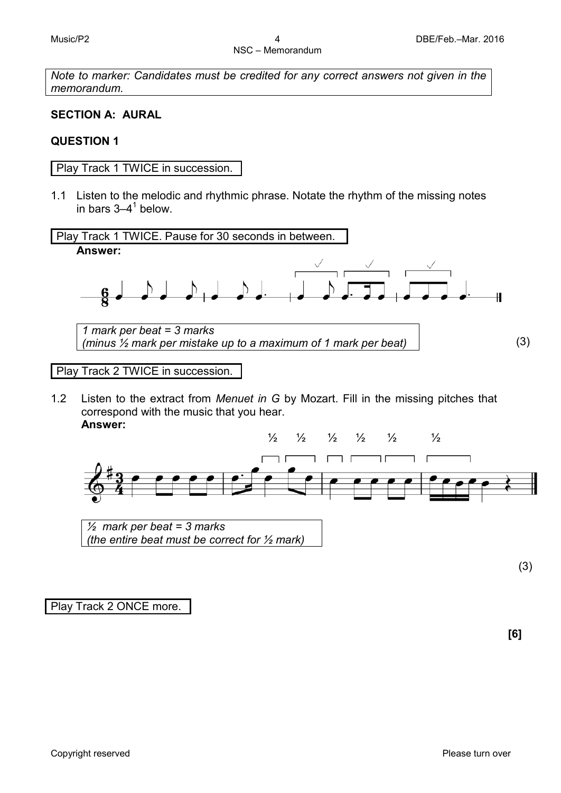*Note to marker: Candidates must be credited for any correct answers not given in the memorandum.*

#### **SECTION A: AURAL**

#### **QUESTION 1**

Play Track 1 TWICE in succession.

1.1 Listen to the melodic and rhythmic phrase. Notate the rhythm of the missing notes in bars  $3-4^1$  below.



1.2 Listen to the extract from *Menuet in G* by Mozart. Fill in the missing pitches that correspond with the music that you hear. **Answer:**



*½ mark per beat = 3 marks (the entire beat must be correct for ½ mark)*

(3)

Play Track 2 ONCE more.

**[6]**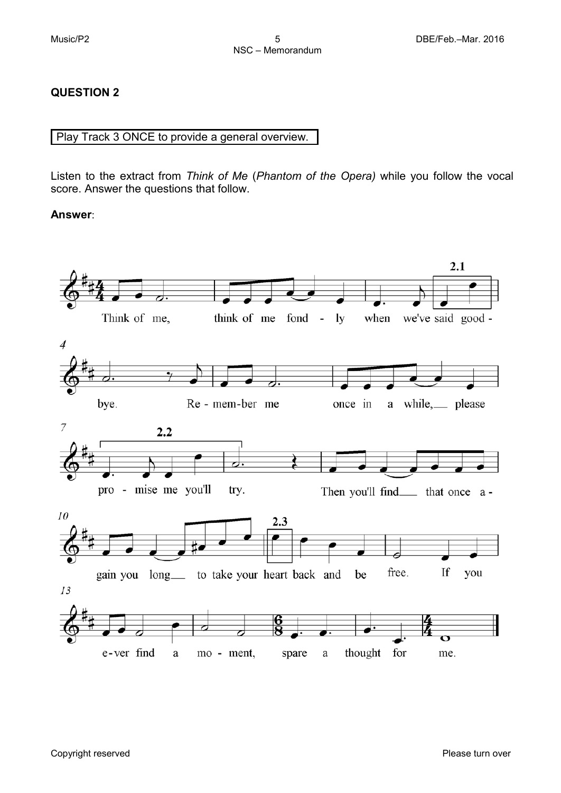# **QUESTION 2**

#### Play Track 3 ONCE to provide a general overview.

Listen to the extract from *Think of Me* (*Phantom of the Opera)* while you follow the vocal score. Answer the questions that follow.

#### **Answer**:

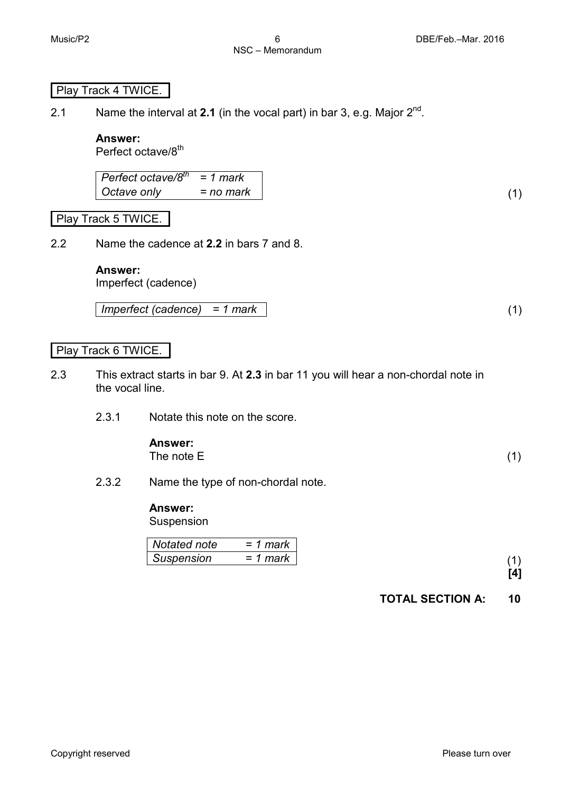# Play Track 4 TWICE.

2.1 Name the interval at **2.1** (in the vocal part) in bar 3, e.g. Major  $2^{nd}$ .

# **Answer:**

Perfect octave/8<sup>th</sup>

*Perfect octave/8th = 1 mark Octave only = no mark* (1)

#### Play Track 5 TWICE.

2.2 Name the cadence at **2.2** in bars 7 and 8.

#### **Answer:**

Imperfect (cadence)

*Imperfect (cadence) = 1 mark* (1)

#### Play Track 6 TWICE.

- 2.3 This extract starts in bar 9. At **2.3** in bar 11 you will hear a non-chordal note in the vocal line.
	- 2.3.1 Notate this note on the score.

# **Answer:**

The note  $E$  (1)

2.3.2 Name the type of non-chordal note.

# **Answer:**

Suspension

| Notated note | = 1 mark |
|--------------|----------|
| Suspension   | = 1 mark |
|              |          |

# **TOTAL SECTION A: 10**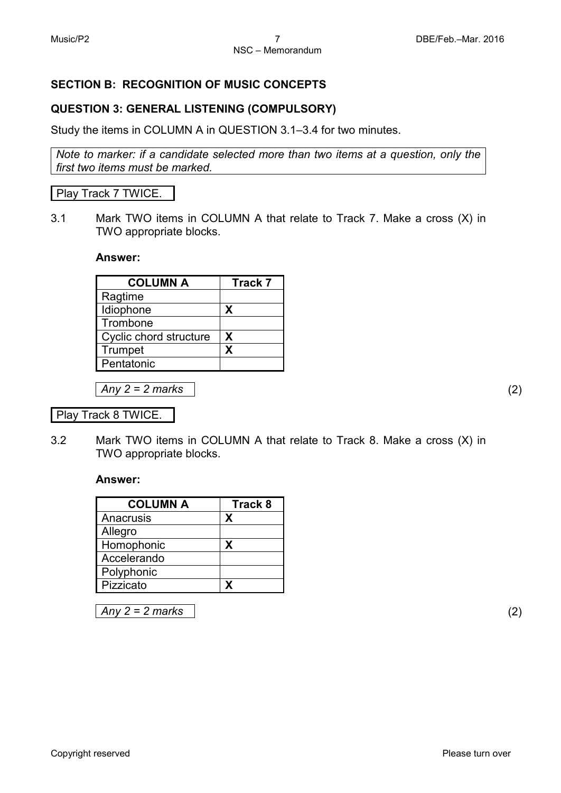# **SECTION B: RECOGNITION OF MUSIC CONCEPTS**

# **QUESTION 3: GENERAL LISTENING (COMPULSORY)**

Study the items in COLUMN A in QUESTION 3.1–3.4 for two minutes.

*Note to marker: if a candidate selected more than two items at a question, only the first two items must be marked.*

#### Play Track 7 TWICE.

3.1 Mark TWO items in COLUMN A that relate to Track 7. Make a cross (X) in TWO appropriate blocks.

#### **Answer:**

| <b>COLUMN A</b>        | <b>Track 7</b> |
|------------------------|----------------|
| Ragtime                |                |
| Idiophone              | X              |
| Trombone               |                |
| Cyclic chord structure | X              |
| Trumpet                | x              |
| Pentatonic             |                |

*Any 2 = 2 marks* (2)

Play Track 8 TWICE.

3.2 Mark TWO items in COLUMN A that relate to Track 8. Make a cross (X) in TWO appropriate blocks.

#### **Answer:**

| <b>COLUMN A</b>   | <b>Track 8</b> |
|-------------------|----------------|
| Anacrusis         | x              |
| Allegro           |                |
| Homophonic        | х              |
| Accelerando       |                |
| <b>Polyphonic</b> |                |
| Pizzicato         |                |

*Any 2 = 2 marks* (2)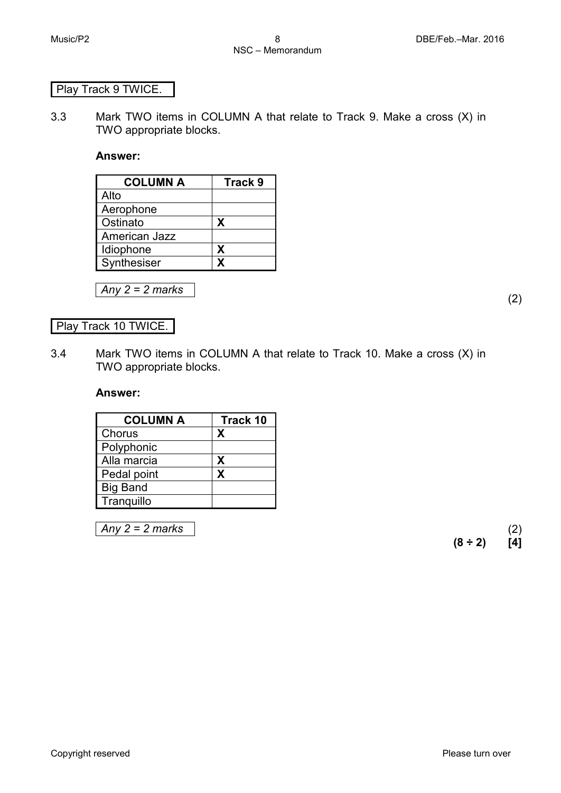# Play Track 9 TWICE.

3.3 Mark TWO items in COLUMN A that relate to Track 9. Make a cross (X) in TWO appropriate blocks.

#### **Answer:**

| <b>COLUMN A</b> | Track 9 |
|-----------------|---------|
| Alto            |         |
| Aerophone       |         |
| Ostinato        | X       |
| American Jazz   |         |
| Idiophone       | X       |
| Synthesiser     | x       |

*Any 2 = 2 marks* (2)

#### Play Track 10 TWICE.

3.4 Mark TWO items in COLUMN A that relate to Track 10. Make a cross (X) in TWO appropriate blocks.

#### **Answer:**

| <b>COLUMN A</b> | Track 10 |
|-----------------|----------|
| Chorus          | X        |
| Polyphonic      |          |
| Alla marcia     | X        |
| Pedal point     | X        |
| <b>Big Band</b> |          |
| Tranquillo      |          |

*Any 2 = 2 marks* (2)

**(8 ÷ 2) [4]**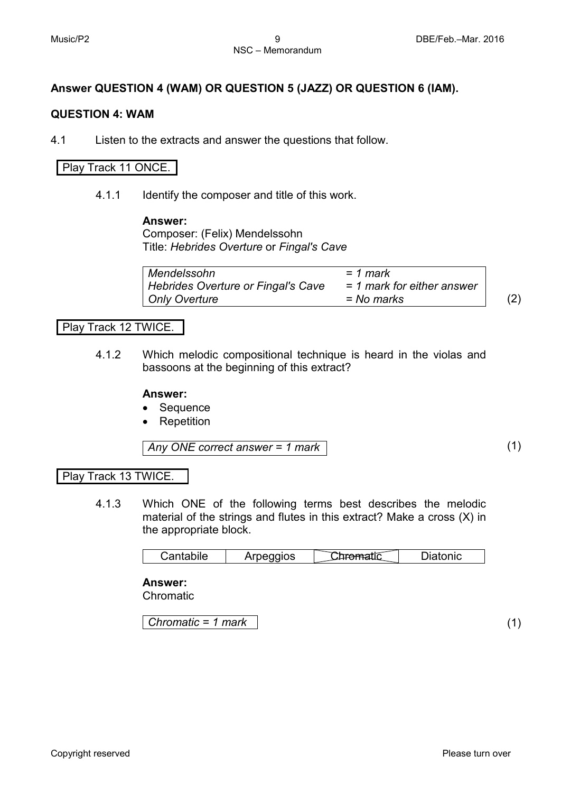# **Answer QUESTION 4 (WAM) OR QUESTION 5 (JAZZ) OR QUESTION 6 (IAM).**

#### **QUESTION 4: WAM**

4.1 Listen to the extracts and answer the questions that follow.

#### Play Track 11 ONCE.

4.1.1 Identify the composer and title of this work.

#### **Answer:**

Composer: (Felix) Mendelssohn Title: *Hebrides Overture* or *Fingal's Cave*

| Mendelssohn                        | = 1 mark                     |                   |
|------------------------------------|------------------------------|-------------------|
| Hebrides Overture or Fingal's Cave | $= 1$ mark for either answer |                   |
| Only Overture                      | = No marks                   | $\left( 2\right)$ |

#### Play Track 12 TWICE.

4.1.2 Which melodic compositional technique is heard in the violas and bassoons at the beginning of this extract?

#### **Answer:**

- Sequence
- **Repetition**

*Any ONE correct answer = 1 mark* (1)

#### Play Track 13 TWICE.

4.1.3 Which ONE of the following terms best describes the melodic material of the strings and flutes in this extract? Make a cross (X) in the appropriate block.

| ;antabile<br>υd | rpeggios | ٦fir<br>. . | atonic |
|-----------------|----------|-------------|--------|
|-----------------|----------|-------------|--------|

#### **Answer:**

Chromatic

*Chromatic = 1 mark* (1)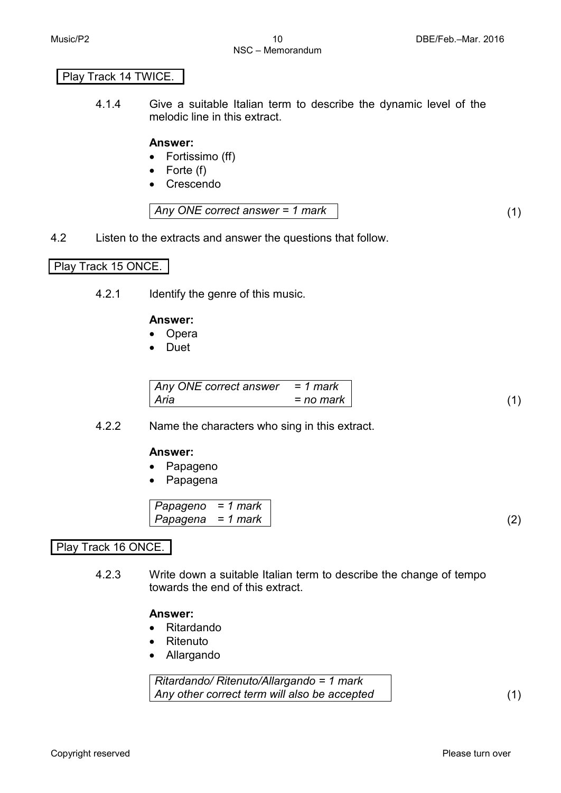#### Play Track 14 TWICE.

4.1.4 Give a suitable Italian term to describe the dynamic level of the melodic line in this extract.

#### **Answer:**

- Fortissimo (ff)
- Forte (f)
- Crescendo

$$
Any ONE correct answer = 1 mark
$$
\n
$$
(1)
$$

4.2 Listen to the extracts and answer the questions that follow.

#### Play Track 15 ONCE.

4.2.1 Identify the genre of this music.

#### **Answer:**

- Opera
- Duet

| Any ONE correct answer $= 1$ mark |             |
|-----------------------------------|-------------|
| Aria                              | $=$ no mark |

#### 4.2.2 Name the characters who sing in this extract.

#### **Answer:**

- Papageno
- Papagena

$$
Papageno = 1 markPapagena = 1 mark
$$
\n(2)

# Play Track 16 ONCE.

4.2.3 Write down a suitable Italian term to describe the change of tempo towards the end of this extract.

#### **Answer:**

- Ritardando
- Ritenuto
- Allargando

*Ritardando/ Ritenuto/Allargando = 1 mark Any other correct term will also be accepted* (1)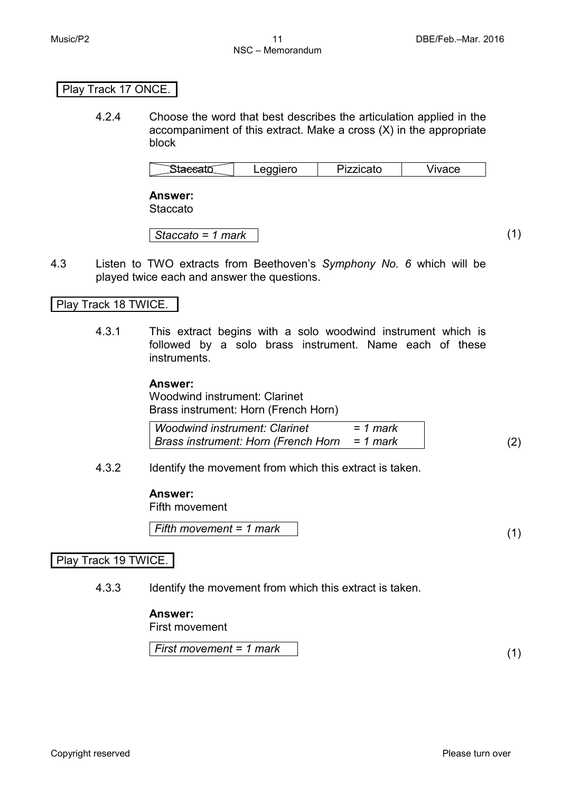#### Play Track 17 ONCE.

4.2.4 Choose the word that best describes the articulation applied in the accompaniment of this extract. Make a cross (X) in the appropriate block

| $ -$<br>$--- \bullet \bullet + \bullet$<br>1000<br>ZZICALU<br>.<br>u<br>-- |  |  |  |  |
|----------------------------------------------------------------------------|--|--|--|--|
|----------------------------------------------------------------------------|--|--|--|--|

**Answer: Staccato** 

*Staccato = 1 mark* (1)

4.3 Listen to TWO extracts from Beethoven's *Symphony No. 6* which will be played twice each and answer the questions.

# Play Track 18 TWICE.

4.3.1 This extract begins with a solo woodwind instrument which is followed by a solo brass instrument. Name each of these instruments.

#### **Answer:**

Woodwind instrument: Clarinet Brass instrument: Horn (French Horn)

| <b>Woodwind instrument: Clarinet</b>         | $= 1$ mark |  |
|----------------------------------------------|------------|--|
| Brass instrument: Horn (French Horn = 1 mark |            |  |

4.3.2 Identify the movement from which this extract is taken.

#### **Answer:**

Fifth movement

*Fifth movement = 1 mark* (1)

# Play Track 19 TWICE.

4.3.3 Identify the movement from which this extract is taken.

#### **Answer:**

First movement

*First movement = 1 mark* (1)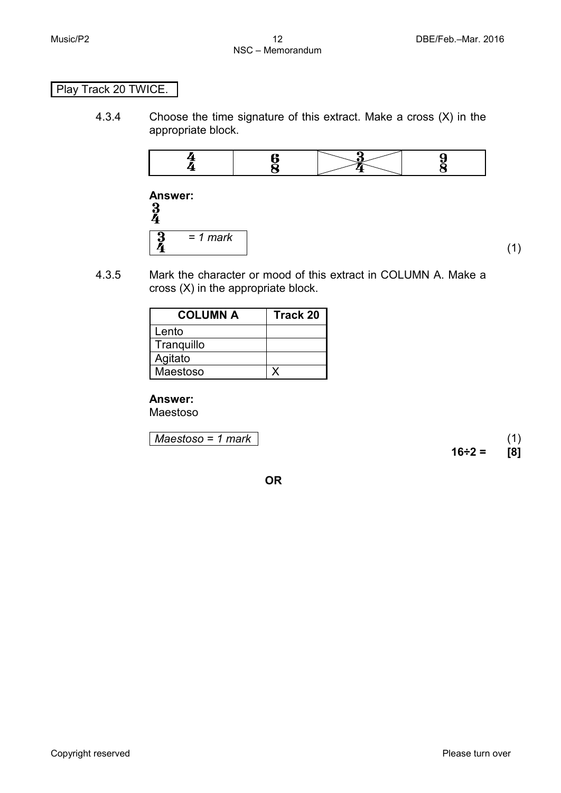# Play Track 20 TWICE.

4.3.4 Choose the time signature of this extract. Make a cross (X) in the appropriate block.



**Answer:**  *= 1 mark*

4.3.5 Mark the character or mood of this extract in COLUMN A. Make a cross (X) in the appropriate block.

| <b>COLUMN A</b> | <b>Track 20</b> |
|-----------------|-----------------|
| Lento           |                 |
| Tranquillo      |                 |
| Agitato         |                 |
| Maestoso        |                 |

#### **Answer:**

Maestoso

*Maestoso = 1 mark* (1)

**16÷2 = [8]**

(1)

**OR**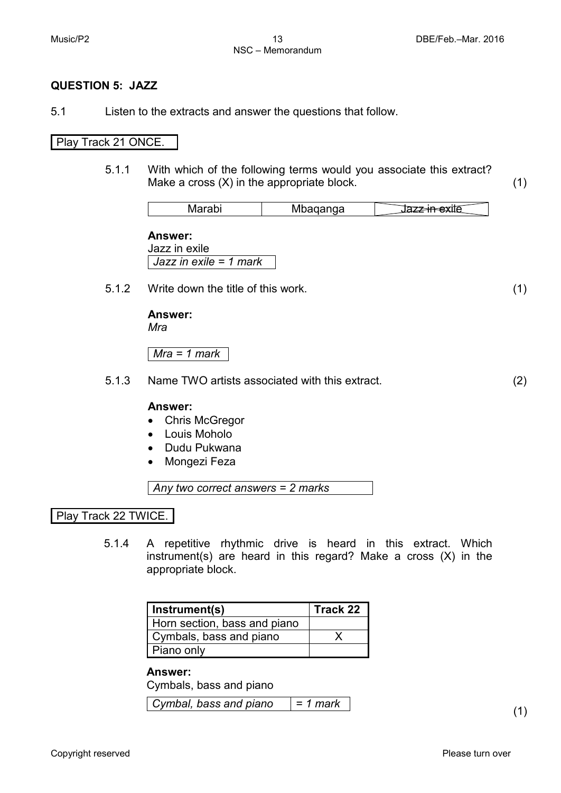#### **QUESTION 5: JAZZ**

5.1 Listen to the extracts and answer the questions that follow.

#### Play Track 21 ONCE.

5.1.1 With which of the following terms would you associate this extract? Make a cross  $(X)$  in the appropriate block.  $(1)$ 

| $-$<br>.<br> |  |
|--------------|--|
|--------------|--|

**Answer:** Jazz in exile *Jazz in exile = 1 mark*

5.1.2 Write down the title of this work. (1)

**Answer:** *Mra*

*Mra = 1 mark*

5.1.3 Name TWO artists associated with this extract. (2)

#### **Answer:**

- Chris McGregor
- Louis Moholo
- Dudu Pukwana
- Mongezi Feza

*Any two correct answers = 2 marks*

Play Track 22 TWICE.

5.1.4 A repetitive rhythmic drive is heard in this extract. Which instrument(s) are heard in this regard? Make a cross (X) in the appropriate block.

| Instrument(s)                | Track 22 |
|------------------------------|----------|
| Horn section, bass and piano |          |
| Cymbals, bass and piano      |          |
| Piano only                   |          |

#### **Answer:**

Cymbals, bass and piano

 $Cymbal, bass and piano = 1 mark$  (1)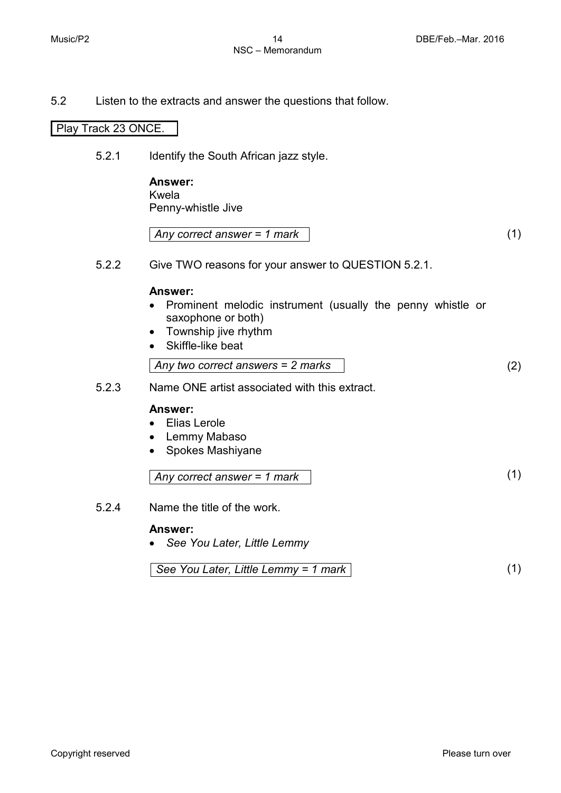5.2 Listen to the extracts and answer the questions that follow.

#### Play Track 23 ONCE.

5.2.1 Identify the South African jazz style.

**Answer:** Kwela Penny-whistle Jive

| Any correct answer = 1 mark |  |
|-----------------------------|--|
|                             |  |

5.2.2 Give TWO reasons for your answer to QUESTION 5.2.1.

#### **Answer:**

- Prominent melodic instrument (usually the penny whistle or saxophone or both)
- Township jive rhythm
- Skiffle-like beat

Any two correct answers = 
$$
2
$$
 marks (2)

5.2.3 Name ONE artist associated with this extract.

# **Answer:**

- Elias Lerole
- Lemmy Mabaso
- Spokes Mashiyane

*Any correct answer = 1 mark* (1)

5.2.4 Name the title of the work.

#### **Answer:**

• *See You Later, Little Lemmy*

See You Later, Little Lemmy = 1 mark 
$$
\boxed{1}
$$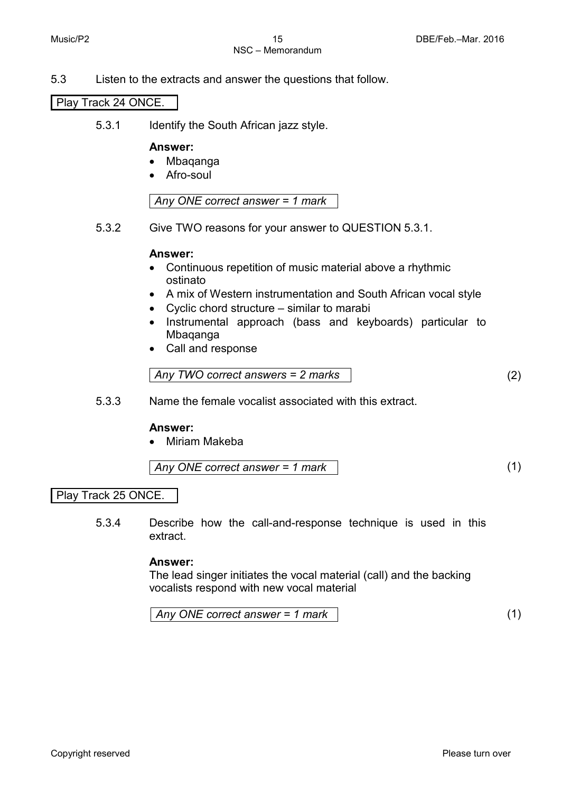5.3 Listen to the extracts and answer the questions that follow.

Play Track 24 ONCE.

5.3.1 Identify the South African jazz style.

#### **Answer:**

- Mbaqanga
- Afro-soul

*Any ONE correct answer = 1 mark*

5.3.2 Give TWO reasons for your answer to QUESTION 5.3.1.

#### **Answer:**

- Continuous repetition of music material above a rhythmic ostinato
- A mix of Western instrumentation and South African vocal style
- Cyclic chord structure similar to marabi
- Instrumental approach (bass and keyboards) particular to Mbaqanga
- Call and response

Any TWO correct answers = 
$$
2 \text{ marks}
$$
 (2)

5.3.3 Name the female vocalist associated with this extract.

#### **Answer:**

• Miriam Makeba

$$
Any ONE correct answer = 1 mark
$$
 (1)

Play Track 25 ONCE.

5.3.4 Describe how the call-and-response technique is used in this extract.

#### **Answer:**

The lead singer initiates the vocal material (call) and the backing vocalists respond with new vocal material

$$
Any ONE correct answer = 1 mark
$$
\n
$$
(1)
$$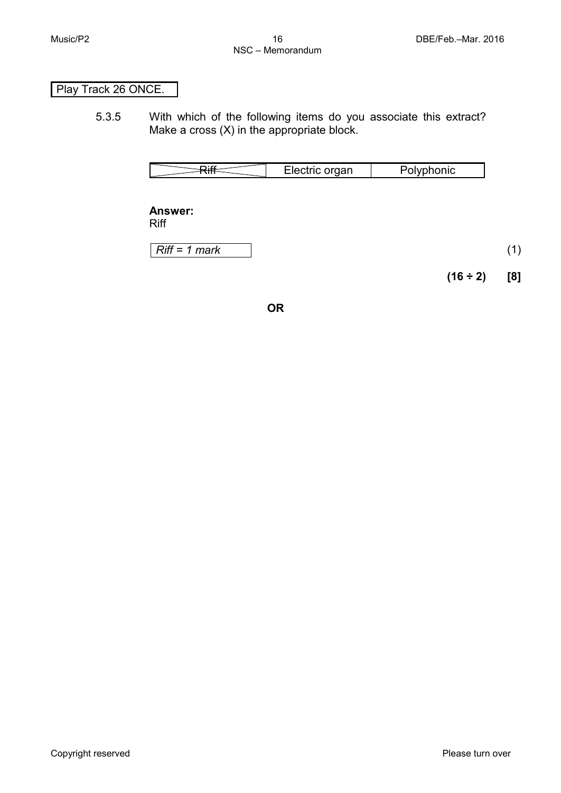# Play Track 26 ONCE.

5.3.5 With which of the following items do you associate this extract? Make a cross (X) in the appropriate block.

|  |  | Electric organ | Polvphonic |  |
|--|--|----------------|------------|--|
|--|--|----------------|------------|--|

**Answer:** Riff

*Riff = 1 mark* (1)

**(16 ÷ 2) [8]**

**OR**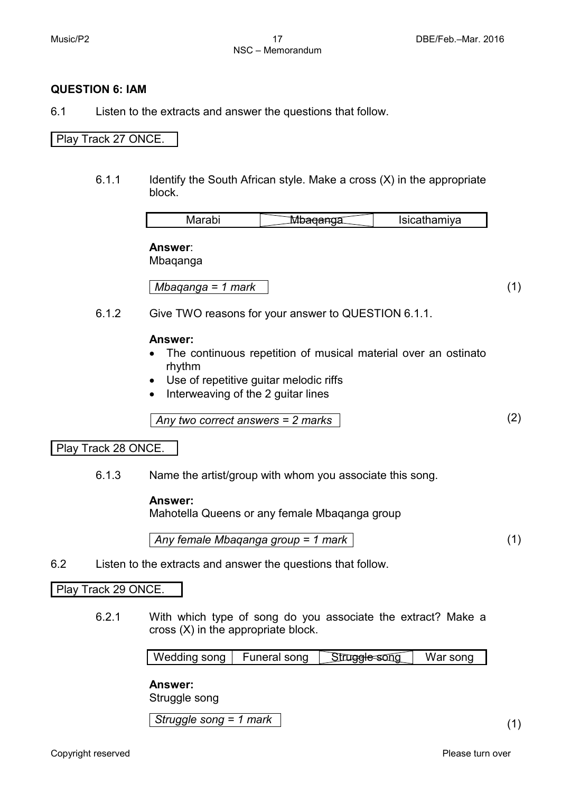#### **QUESTION 6: IAM**

6.1 Listen to the extracts and answer the questions that follow.

# Play Track 27 ONCE.

6.1.1 Identify the South African style. Make a cross (X) in the appropriate block.

| <u>ividi dul</u><br>'va |
|-------------------------|
|-------------------------|

**Answer**:

Mbaqanga

*Mbaqanga = 1 mark* (1)

6.1.2 Give TWO reasons for your answer to QUESTION 6.1.1.

#### **Answer:**

- The continuous repetition of musical material over an ostinato rhythm
- Use of repetitive guitar melodic riffs
- Interweaving of the 2 guitar lines

*Any two correct answers = 2 marks* (2)

#### Play Track 28 ONCE.

6.1.3 Name the artist/group with whom you associate this song.

#### **Answer:**

Mahotella Queens or any female Mbaqanga group

*Any female Mbaqanga group = 1 mark* (1)

6.2 Listen to the extracts and answer the questions that follow.

#### Play Track 29 ONCE.

6.2.1 With which type of song do you associate the extract? Make a cross (X) in the appropriate block.

|  | Wedding song | Funeral song | Struggle song | War song |
|--|--------------|--------------|---------------|----------|
|--|--------------|--------------|---------------|----------|

#### **Answer:**

Struggle song

*Struggle song = 1 mark* (1)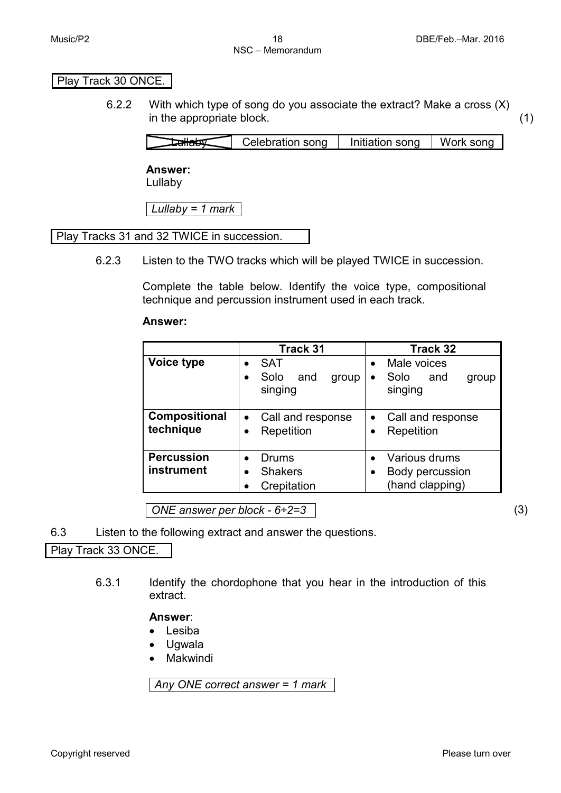# Play Track 30 ONCE.

6.2.2 With which type of song do you associate the extract? Make a cross (X) in the appropriate block. (1)

|  | Celebration song | Initiation song | Work song |
|--|------------------|-----------------|-----------|
|--|------------------|-----------------|-----------|

#### **Answer:**

Lullaby

*Lullaby = 1 mark*

# Play Tracks 31 and 32 TWICE in succession.

6.2.3 Listen to the TWO tracks which will be played TWICE in succession.

Complete the table below. Identify the voice type, compositional technique and percussion instrument used in each track.

#### **Answer:**

|                                 | Track 31                                                                | Track 32                                                                 |
|---------------------------------|-------------------------------------------------------------------------|--------------------------------------------------------------------------|
| Voice type                      | <b>SAT</b><br>$\bullet$<br>Solo<br>and<br>group<br>$\bullet$<br>singing | Male voices<br>$\bullet$<br>Solo<br>and<br>group<br>$\bullet$<br>singing |
| Compositional<br>technique      | Call and response<br>$\bullet$<br>Repetition                            | Call and response<br>Repetition                                          |
| <b>Percussion</b><br>instrument | Drums<br>$\bullet$<br><b>Shakers</b><br>٠<br>Crepitation                | Various drums<br>Body percussion<br>(hand clapping)                      |

*ONE answer per block - 6÷2=3* (3)

6.3 Listen to the following extract and answer the questions.

Play Track 33 ONCE.

6.3.1 Identify the chordophone that you hear in the introduction of this extract.

**Answer**:

- Lesiba
- Ugwala
- Makwindi

*Any ONE correct answer = 1 mark*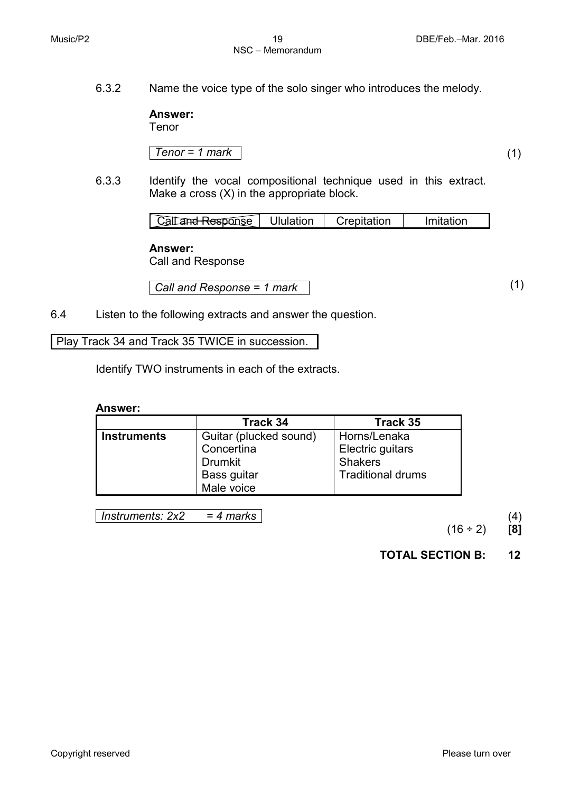6.3.2 Name the voice type of the solo singer who introduces the melody.

**Answer:**

Tenor

*Tenor = 1 mark* (1)

6.3.3 Identify the vocal compositional technique used in this extract. Make a cross (X) in the appropriate block.

| an <del>d Respo</del> nse | 'Jlulation | <u>ੇ</u> ∽∘oitation | <i>I</i> mitation |
|---------------------------|------------|---------------------|-------------------|

#### **Answer:**

Call and Response

*Call and Response = 1 mark* (1)

6.4 Listen to the following extracts and answer the question.

Play Track 34 and Track 35 TWICE in succession.

Identify TWO instruments in each of the extracts.

#### **Answer:**

|                    | Track 34               | Track 35                 |
|--------------------|------------------------|--------------------------|
| <b>Instruments</b> | Guitar (plucked sound) | Horns/Lenaka             |
|                    | Concertina             | Electric guitars         |
|                    | <b>Drumkit</b>         | <b>Shakers</b>           |
|                    | Bass guitar            | <b>Traditional drums</b> |
|                    | Male voice             |                          |

*Instruments: 2x2 = 4 marks* (4)

(16 ÷ 2) **[8]**

**TOTAL SECTION B: 12**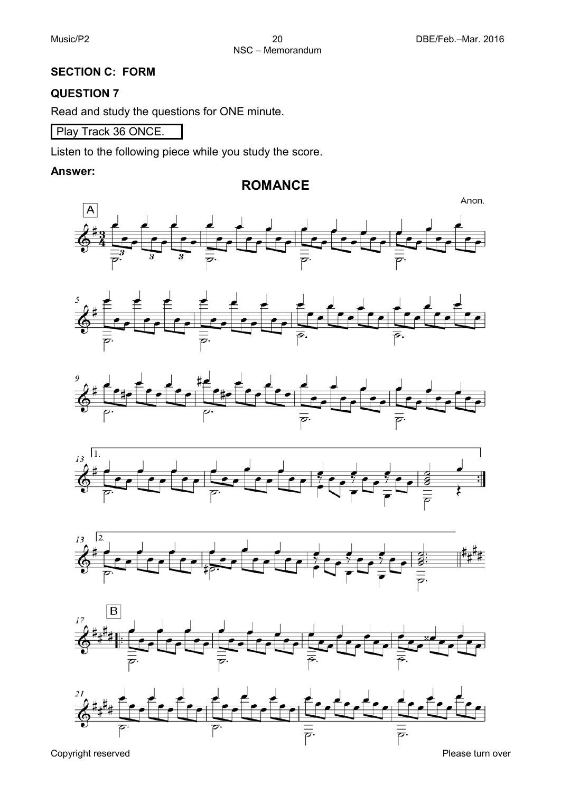# **SECTION C: FORM**

#### **QUESTION 7**

Read and study the questions for ONE minute.

Play Track 36 ONCE.

Listen to the following piece while you study the score.

#### **Answer:**

# **ROMANCE**









Copyright reserved **Please** turn over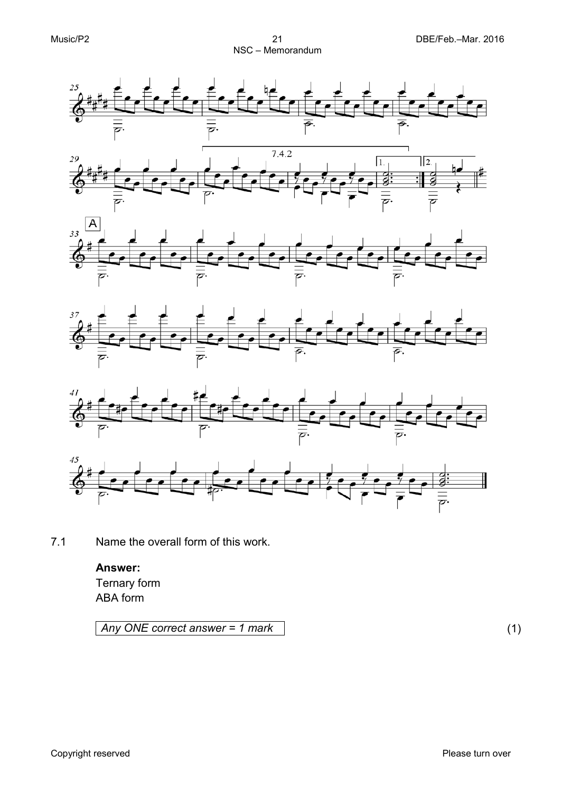











7.1 Name the overall form of this work.

# **Answer:** Ternary form ABA form

*Any ONE correct answer = 1 mark* (1)